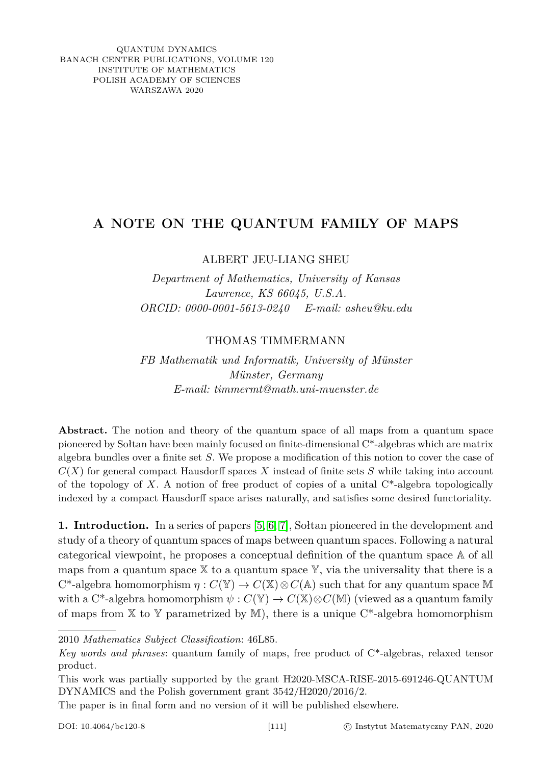QUANTUM DYNAMICS BANACH CENTER PUBLICATIONS, VOLUME 120 INSTITUTE OF MATHEMATICS POLISH ACADEMY OF SCIENCES WARSZAWA 2020

## **A NOTE ON THE QUANTUM FAMILY OF MAPS**

ALBERT JEU-LIANG SHEU

*Department of Mathematics, University of Kansas Lawrence, KS 66045, U.S.A. ORCID: 0000-0001-5613-0240 E-mail: asheu@ku.edu*

## THOMAS TIMMERMANN

*FB Mathematik und Informatik, University of Münster Münster, Germany E-mail: timmermt@math.uni-muenster.de*

Abstract. The notion and theory of the quantum space of all maps from a quantum space pioneered by Sołtan have been mainly focused on finite-dimensional C\*-algebras which are matrix algebra bundles over a finite set *S*. We propose a modification of this notion to cover the case of  $C(X)$  for general compact Hausdorff spaces X instead of finite sets S while taking into account of the topology of *X*. A notion of free product of copies of a unital C\*-algebra topologically indexed by a compact Hausdorff space arises naturally, and satisfies some desired functoriality.

**1. Introduction.** In a series of papers [\[5,](#page-9-0) [6,](#page-9-1) [7\]](#page-9-2), Sołtan pioneered in the development and study of a theory of quantum spaces of maps between quantum spaces. Following a natural categorical viewpoint, he proposes a conceptual definition of the quantum space A of all maps from a quantum space  $X$  to a quantum space  $Y$ , via the universality that there is a  $C^*$ -algebra homomorphism  $\eta: C(\mathbb{Y}) \to C(\mathbb{X}) \otimes C(\mathbb{A})$  such that for any quantum space M with a C<sup>\*</sup>-algebra homomorphism  $\psi : C(\mathbb{Y}) \to C(\mathbb{X}) \otimes C(\mathbb{M})$  (viewed as a quantum family of maps from  $X$  to Y parametrized by M), there is a unique  $C^*$ -algebra homomorphism

The paper is in final form and no version of it will be published elsewhere.

<sup>2010</sup> *Mathematics Subject Classification*: 46L85.

*Key words and phrases*: quantum family of maps, free product of C\*-algebras, relaxed tensor product.

This work was partially supported by the grant H2020-MSCA-RISE-2015-691246-QUANTUM DYNAMICS and the Polish government grant 3542/H2020/2016/2.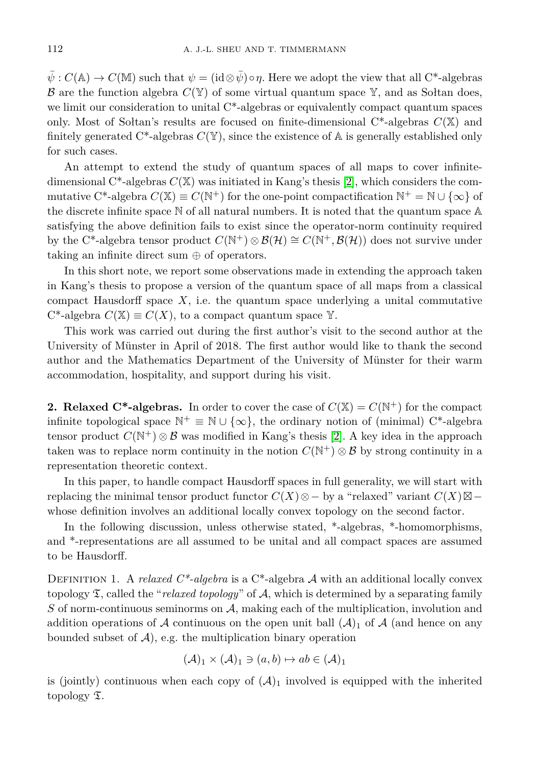$\bar{\psi}: C(\mathbb{A}) \to C(\mathbb{M})$  such that  $\psi = (\mathrm{id} \otimes \bar{\psi}) \circ \eta$ . Here we adopt the view that all C<sup>\*</sup>-algebras  $\mathcal B$  are the function algebra  $C(\mathbb Y)$  of some virtual quantum space  $\mathbb Y$ , and as Sołtan does, we limit our consideration to unital C\*-algebras or equivalently compact quantum spaces only. Most of Soltan's results are focused on finite-dimensional  $C^*$ -algebras  $C(\mathbb{X})$  and finitely generated  $C^*$ -algebras  $C(Y)$ , since the existence of  $A$  is generally established only for such cases.

An attempt to extend the study of quantum spaces of all maps to cover infinitedimensional  $C^*$ -algebras  $C(\mathbb{X})$  was initiated in Kang's thesis [\[2\]](#page-9-3), which considers the commutative C<sup>\*</sup>-algebra  $C(\mathbb{X}) \equiv C(\mathbb{N}^+)$  for the one-point compactification  $\mathbb{N}^+ = \mathbb{N} \cup \{\infty\}$  of the discrete infinite space N of all natural numbers. It is noted that the quantum space A satisfying the above definition fails to exist since the operator-norm continuity required by the C<sup>\*</sup>-algebra tensor product  $C(\mathbb{N}^+) \otimes \mathcal{B}(\mathcal{H}) \cong C(\mathbb{N}^+, \mathcal{B}(\mathcal{H}))$  does not survive under taking an infinite direct sum ⊕ of operators.

In this short note, we report some observations made in extending the approach taken in Kang's thesis to propose a version of the quantum space of all maps from a classical compact Hausdorff space  $X$ , i.e. the quantum space underlying a unital commutative  $C^*$ -algebra  $C(\mathbb{X}) \equiv C(X)$ , to a compact quantum space Y.

This work was carried out during the first author's visit to the second author at the University of Münster in April of 2018. The first author would like to thank the second author and the Mathematics Department of the University of Münster for their warm accommodation, hospitality, and support during his visit.

**2. Relaxed C\*-algebras.** In order to cover the case of  $C(\mathbb{X}) = C(\mathbb{N}^+)$  for the compact infinite topological space  $\mathbb{N}^+ \equiv \mathbb{N} \cup \{\infty\}$ , the ordinary notion of (minimal) C<sup>\*</sup>-algebra tensor product  $C(\mathbb{N}^+) \otimes \mathcal{B}$  was modified in Kang's thesis [\[2\]](#page-9-3). A key idea in the approach taken was to replace norm continuity in the notion  $C(\mathbb{N}^+) \otimes \mathcal{B}$  by strong continuity in a representation theoretic context.

In this paper, to handle compact Hausdorff spaces in full generality, we will start with replacing the minimal tensor product functor  $C(X) \otimes -$  by a "relaxed" variant  $C(X) \boxtimes$ whose definition involves an additional locally convex topology on the second factor.

In the following discussion, unless otherwise stated, \*-algebras, \*-homomorphisms, and \*-representations are all assumed to be unital and all compact spaces are assumed to be Hausdorff.

DEFINITION 1. A *relaxed C\*-algebra* is a C<sup>\*</sup>-algebra A with an additional locally convex topology T, called the "*relaxed topology*" of A, which is determined by a separating family *S* of norm-continuous seminorms on A, making each of the multiplication, involution and addition operations of A continuous on the open unit ball  $(A)_1$  of A (and hence on any bounded subset of  $A$ ), e.g. the multiplication binary operation

$$
(\mathcal{A})_1 \times (\mathcal{A})_1 \ni (a, b) \mapsto ab \in (\mathcal{A})_1
$$

is (jointly) continuous when each copy of  $(\mathcal{A})_1$  involved is equipped with the inherited topology T.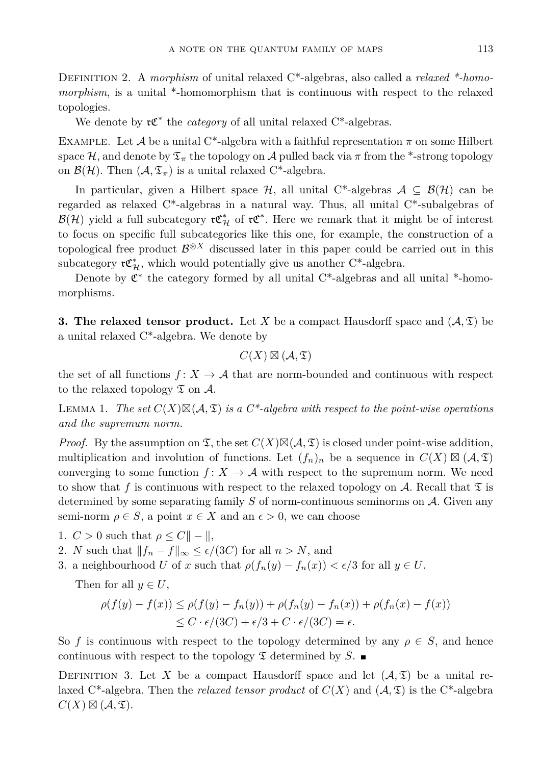Definition 2. A *morphism* of unital relaxed C\*-algebras, also called a *relaxed \*-homomorphism*, is a unital \*-homomorphism that is continuous with respect to the relaxed topologies.

We denote by  $\mathfrak{r} \mathfrak{C}^*$  the *category* of all unital relaxed C<sup>\*</sup>-algebras.

EXAMPLE. Let A be a unital C<sup>\*</sup>-algebra with a faithful representation  $\pi$  on some Hilbert space H, and denote by  $\mathfrak{T}_{\pi}$  the topology on A pulled back via  $\pi$  from the \*-strong topology on  $\mathcal{B}(\mathcal{H})$ . Then  $(\mathcal{A}, \mathfrak{T}_{\pi})$  is a unital relaxed C<sup>\*</sup>-algebra.

In particular, given a Hilbert space  $\mathcal{H}$ , all unital C<sup>\*</sup>-algebras  $\mathcal{A} \subseteq \mathcal{B}(\mathcal{H})$  can be regarded as relaxed C\*-algebras in a natural way. Thus, all unital C\*-subalgebras of  $\mathcal{B}(\mathcal{H})$  yield a full subcategory  $\mathfrak{r} \mathfrak{C}_{\mathcal{H}}^*$  of  $\mathfrak{r} \mathfrak{C}^*$ . Here we remark that it might be of interest to focus on specific full subcategories like this one, for example, the construction of a topological free product  $\mathcal{B}^{\otimes X}$  discussed later in this paper could be carried out in this subcategory  $\mathfrak{r} \mathfrak{C}^*_{\mathcal{H}}$ , which would potentially give us another C<sup>\*</sup>-algebra.

Denote by  $\mathfrak{C}^*$  the category formed by all unital C<sup>\*</sup>-algebras and all unital <sup>\*</sup>-homomorphisms.

**3. The relaxed tensor product.** Let *X* be a compact Hausdorff space and  $(A, \mathfrak{T})$  be a unital relaxed C\*-algebra. We denote by

$$
C(X) \boxtimes (\mathcal{A}, \mathfrak{T})
$$

the set of all functions  $f: X \to \mathcal{A}$  that are norm-bounded and continuous with respect to the relaxed topology  $\mathfrak T$  on  $\mathcal A$ .

LEMMA 1. The set  $C(X) \boxtimes (A, \mathfrak{T})$  is a  $C^*$ -algebra with respect to the point-wise operations *and the supremum norm.*

*Proof.* By the assumption on  $\mathfrak{T}$ , the set  $C(X) \boxtimes (\mathcal{A}, \mathfrak{T})$  is closed under point-wise addition, multiplication and involution of functions. Let  $(f_n)_n$  be a sequence in  $C(X) \boxtimes (A, \mathfrak{T})$ converging to some function  $f: X \to \mathcal{A}$  with respect to the supremum norm. We need to show that f is continuous with respect to the relaxed topology on A. Recall that  $\mathfrak T$  is determined by some separating family *S* of norm-continuous seminorms on A. Given any semi-norm  $\rho \in S$ , a point  $x \in X$  and an  $\epsilon > 0$ , we can choose

1.  $C > 0$  such that  $\rho \leq C || - ||$ ,

2. *N* such that  $||f_n - f||_{\infty} \le \epsilon/(3C)$  for all  $n > N$ , and

3. a neighbourhood *U* of *x* such that  $\rho(f_n(y) - f_n(x)) < \epsilon/3$  for all  $y \in U$ .

Then for all  $y \in U$ ,

$$
\rho(f(y) - f(x)) \le \rho(f(y) - f_n(y)) + \rho(f_n(y) - f_n(x)) + \rho(f_n(x) - f(x))
$$
  

$$
\le C \cdot \epsilon/(3C) + \epsilon/3 + C \cdot \epsilon/(3C) = \epsilon.
$$

So *f* is continuous with respect to the topology determined by any  $\rho \in S$ , and hence continuous with respect to the topology  $\mathfrak T$  determined by  $S$ .

DEFINITION 3. Let X be a compact Hausdorff space and let  $(A,\mathfrak{T})$  be a unital relaxed C<sup>\*</sup>-algebra. Then the *relaxed tensor product* of  $C(X)$  and  $(A, \mathfrak{T})$  is the C<sup>\*</sup>-algebra  $C(X) \boxtimes (\mathcal{A}, \mathfrak{T}).$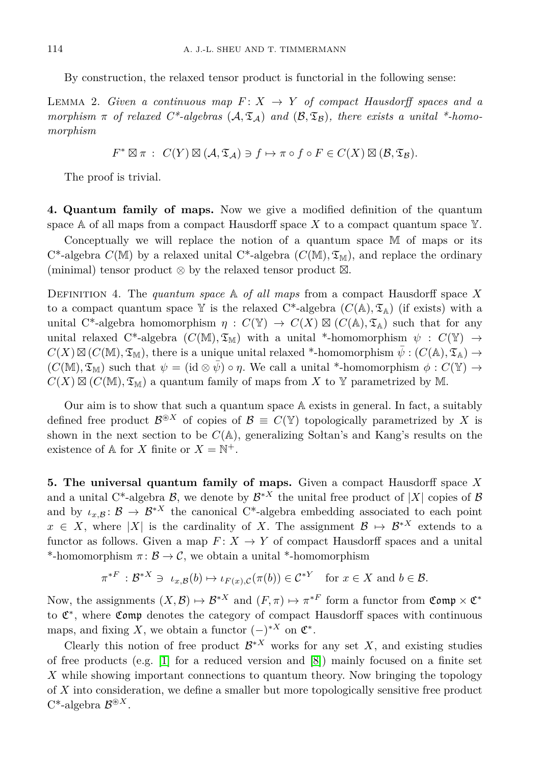By construction, the relaxed tensor product is functorial in the following sense:

LEMMA 2. *Given a continuous map*  $F: X \rightarrow Y$  *of compact Hausdorff spaces and a morphism*  $\pi$  *of relaxed C\*-algebras* ( $A$ ,  $\mathfrak{T}_A$ ) *and* ( $B$ ,  $\mathfrak{T}_B$ )*, there exists a unital \*-homomorphism*

$$
F^* \boxtimes \pi : C(Y) \boxtimes (\mathcal{A}, \mathfrak{T}_{\mathcal{A}}) \ni f \mapsto \pi \circ f \circ F \in C(X) \boxtimes (\mathcal{B}, \mathfrak{T}_{\mathcal{B}}).
$$

The proof is trivial.

**4. Quantum family of maps.** Now we give a modified definition of the quantum space  $A$  of all maps from a compact Hausdorff space X to a compact quantum space  $Y$ .

Conceptually we will replace the notion of a quantum space M of maps or its  $C^*$ -algebra  $C(M)$  by a relaxed unital  $C^*$ -algebra  $(C(M), \mathfrak{T}_M)$ , and replace the ordinary (minimal) tensor product  $\otimes$  by the relaxed tensor product  $\boxtimes$ .

Definition 4. The *quantum space* A *of all maps* from a compact Hausdorff space *X* to a compact quantum space Y is the relaxed C<sup>\*</sup>-algebra  $(C(A), \mathfrak{T}_{A})$  (if exists) with a unital C<sup>\*</sup>-algebra homomorphism  $\eta: C(\mathbb{Y}) \to C(X) \boxtimes (C(\mathbb{A}), \mathfrak{T}_{\mathbb{A}})$  such that for any unital relaxed C\*-algebra  $(C(M), \mathfrak{T}_M)$  with a unital \*-homomorphism  $\psi : C(\mathbb{Y}) \to$  $C(X) \boxtimes (C(\mathbb{M}), \mathfrak{T}_{\mathbb{M}})$ , there is a unique unital relaxed \*-homomorphism  $\bar{\psi}: (C(\mathbb{A}), \mathfrak{T}_{\mathbb{A}}) \to$  $(C(\mathbb{M}), \mathfrak{T}_{\mathbb{M}})$  such that  $\psi = (\mathrm{id} \otimes \bar{\psi}) \circ \eta$ . We call a unital \*-homomorphism  $\phi : C(\mathbb{Y}) \to$  $C(X) \boxtimes (C(M), \mathfrak{T}_M)$  a quantum family of maps from X to Y parametrized by M.

Our aim is to show that such a quantum space A exists in general. In fact, a suitably defined free product  $\mathcal{B}^{\circledast X}$  of copies of  $\mathcal{B} \equiv C(\mathbb{Y})$  topologically parametrized by X is shown in the next section to be  $C(A)$ , generalizing Soltan's and Kang's results on the existence of  $A$  for *X* finite or  $X = \mathbb{N}^+$ .

**5. The universal quantum family of maps.** Given a compact Hausdorff space *X* and a unital C<sup>\*</sup>-algebra  $\mathcal{B}$ , we denote by  $\mathcal{B}^{*X}$  the unital free product of  $|X|$  copies of  $\mathcal{B}$ and by  $\iota_{x,B}$ :  $\mathcal{B} \to \mathcal{B}^{*X}$  the canonical C<sup>\*</sup>-algebra embedding associated to each point  $x \in X$ , where |*X*| is the cardinality of *X*. The assignment  $\mathcal{B} \mapsto \mathcal{B}^{*X}$  extends to a functor as follows. Given a map  $F: X \to Y$  of compact Hausdorff spaces and a unital \*-homomorphism  $\pi: \mathcal{B} \to \mathcal{C}$ , we obtain a unital \*-homomorphism

$$
\pi^{*F} : \mathcal{B}^{*X} \ni \iota_{x,\mathcal{B}}(b) \mapsto \iota_{F(x),\mathcal{C}}(\pi(b)) \in \mathcal{C}^{*Y} \quad \text{for } x \in X \text{ and } b \in \mathcal{B}.
$$

Now, the assignments  $(X, \mathcal{B}) \mapsto \mathcal{B}^{*X}$  and  $(F, \pi) \mapsto \pi^{*F}$  form a functor from  $\mathfrak{Comp} \times \mathfrak{C}^*$ to  $\mathfrak{C}^*$ , where  $\mathfrak{Comp}$  denotes the category of compact Hausdorff spaces with continuous maps, and fixing *X*, we obtain a functor  $(-)^{*X}$  on  $\mathfrak{C}^*$ .

Clearly this notion of free product  $\mathcal{B}^{*X}$  works for any set X, and existing studies of free products (e.g. [\[1\]](#page-9-4) for a reduced version and [\[8\]](#page-9-5)) mainly focused on a finite set *X* while showing important connections to quantum theory. Now bringing the topology of *X* into consideration, we define a smaller but more topologically sensitive free product  $C^*$ -algebra  $\mathcal{B}^{\circledast X}$ .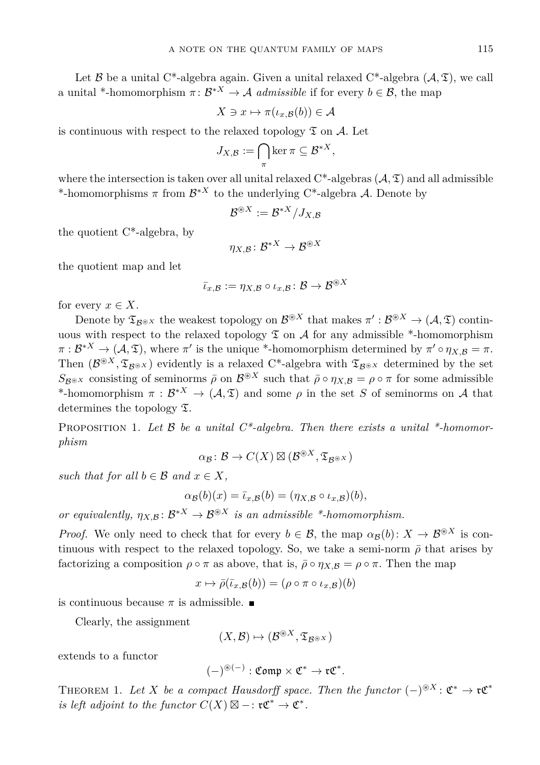Let B be a unital C<sup>\*</sup>-algebra again. Given a unital relaxed C<sup>\*</sup>-algebra  $(A, \mathfrak{T})$ , we call a unital \*-homomorphism  $\pi: \mathcal{B}^{*X} \to \mathcal{A}$  *admissible* if for every  $b \in \mathcal{B}$ , the map

$$
X \ni x \mapsto \pi(\iota_{x,\mathcal{B}}(b)) \in \mathcal{A}
$$

is continuous with respect to the relaxed topology  $\mathfrak T$  on A. Let

$$
J_{X,\mathcal{B}} := \bigcap_{\pi} \ker \pi \subseteq \mathcal{B}^{*X},
$$

where the intersection is taken over all unital relaxed  $C^*$ -algebras  $(A, \mathfrak{T})$  and all admissible \*-homomorphisms  $\pi$  from  $\mathcal{B}^{*X}$  to the underlying C<sup>\*</sup>-algebra A. Denote by

$$
\mathcal{B}^{\circledast X} := \mathcal{B}^{*X}/J_{X,\mathcal{B}}
$$

the quotient C\*-algebra, by

$$
\eta_{X,\mathcal{B}}\colon \mathcal{B}^{*X} \to \mathcal{B}^{\circledast X}
$$

the quotient map and let

$$
\bar{\iota}_{x,\mathcal{B}} := \eta_{X,\mathcal{B}} \circ \iota_{x,\mathcal{B}} \colon \mathcal{B} \to \mathcal{B}^{\circledast X}
$$

for every  $x \in X$ .

Denote by  $\mathfrak{T}_{\mathcal{B}^{\circledast X}}$  the weakest topology on  $\mathcal{B}^{\circledast X}$  that makes  $\pi':\mathcal{B}^{\circledast X}\to(\mathcal{A},\mathfrak{T})$  continuous with respect to the relaxed topology  $\mathfrak T$  on A for any admissible \*-homomorphism  $\pi: \mathcal{B}^{*X} \to (\mathcal{A}, \mathfrak{T})$ , where  $\pi'$  is the unique \*-homomorphism determined by  $\pi' \circ \eta_{X,\mathcal{B}} = \pi$ . Then  $(\mathcal{B}^{\circledast X}, \mathfrak{T}_{\mathcal{B}^{\circledast X}})$  evidently is a relaxed C<sup>\*</sup>-algebra with  $\mathfrak{T}_{\mathcal{B}^{\circledast X}}$  determined by the set  $S_{\mathcal{B}^{\otimes X}}$  consisting of seminorms  $\bar{\rho}$  on  $\mathcal{B}^{\otimes X}$  such that  $\bar{\rho} \circ \eta_{X,\mathcal{B}} = \rho \circ \pi$  for some admissible \*-homomorphism  $\pi : \mathcal{B}^{*X} \to (\mathcal{A}, \mathfrak{T})$  and some  $\rho$  in the set *S* of seminorms on A that determines the topology T.

PROPOSITION 1. Let B be a unital C<sup>\*</sup>-algebra. Then there exists a unital <sup>\*</sup>-homomor*phism*

$$
\alpha_{\mathcal{B}}\colon \mathcal{B}\to C(X)\boxtimes (\mathcal{B}^{\circledast X},\mathfrak{T}_{\mathcal{B}^{\circledast X}})
$$

*such that for all*  $b \in \mathcal{B}$  *and*  $x \in X$ ,

$$
\alpha_{\mathcal{B}}(b)(x) = \overline{\iota}_{x,\mathcal{B}}(b) = (\eta_{X,\mathcal{B}} \circ \iota_{x,\mathcal{B}})(b),
$$

*or equivalently,*  $\eta_{X,\mathcal{B}} \colon \mathcal{B}^{*X} \to \mathcal{B}^{\otimes X}$  *is an admissible \*-homomorphism.* 

*Proof.* We only need to check that for every  $b \in \mathcal{B}$ , the map  $\alpha_{\mathcal{B}}(b): X \to \mathcal{B}^{\circledast X}$  is continuous with respect to the relaxed topology. So, we take a semi-norm  $\bar{\rho}$  that arises by factorizing a composition  $\rho \circ \pi$  as above, that is,  $\bar{\rho} \circ \eta_{X,B} = \rho \circ \pi$ . Then the map

$$
x \mapsto \bar{\rho}(\bar{\iota}_{x,\mathcal{B}}(b)) = (\rho \circ \pi \circ \iota_{x,\mathcal{B}})(b)
$$

is continuous because  $\pi$  is admissible.

Clearly, the assignment

$$
(X,\mathcal{B})\mapsto (\mathcal{B}^{\circledast X},\mathfrak{T}_{\mathcal{B}^{\circledast X}})
$$

extends to a functor

$$
(-)^{\circledast(-)}:\mathfrak{Comp}\times \mathfrak{C}^*\to \mathfrak{r}\mathfrak{C}^*.
$$

<span id="page-4-0"></span>THEOREM 1. Let *X* be a compact Hausdorff space. Then the functor  $(-)^{\circledast X}$ :  $\mathfrak{C}^* \to \mathfrak{r} \mathfrak{C}^*$ *is left adjoint to the functor*  $C(X) \boxtimes -$ **:**  $\mathfrak{r} \mathfrak{C}^* \to \mathfrak{C}^*$ .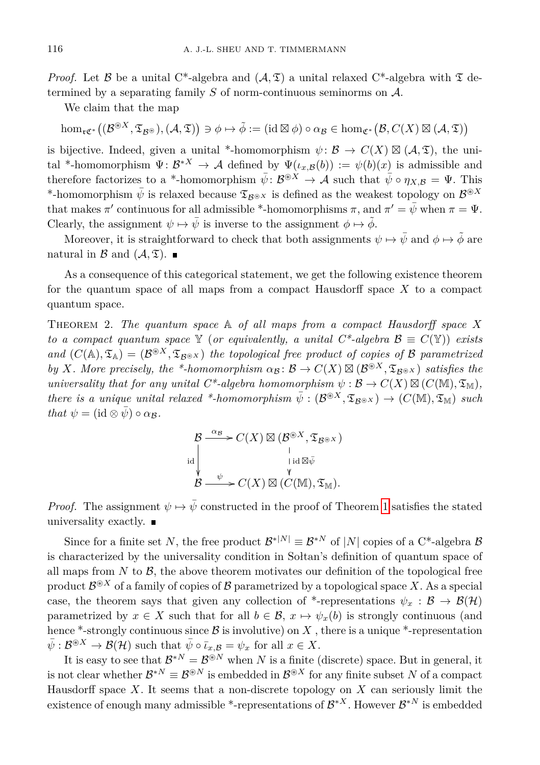*Proof.* Let B be a unital C<sup>\*</sup>-algebra and  $(A, \mathfrak{T})$  a unital relaxed C<sup>\*</sup>-algebra with  $\mathfrak{T}$  determined by a separating family  $S$  of norm-continuous seminorms on  $A$ .

We claim that the map

 $\hom_{\mathfrak{r}\mathfrak{C}^*}\big((\mathcal{B}^{\circledast X}, \mathfrak{T}_{\mathcal{B}^{\circledast}}), (\mathcal{A}, \mathfrak{T})\big) \ni \phi \mapsto \tilde{\phi} := (\mathrm{id} \boxtimes \phi) \circ \alpha_{\mathcal{B}} \in \hom_{\mathfrak{C}^*}\big(\mathcal{B}, C(X) \boxtimes (\mathcal{A}, \mathfrak{T})\big)$ 

is bijective. Indeed, given a unital \*-homomorphism  $\psi: \mathcal{B} \to C(X) \boxtimes (\mathcal{A}, \mathfrak{T})$ , the unital \*-homomorphism  $\Psi: \mathcal{B}^{*X} \to \mathcal{A}$  defined by  $\Psi(\iota_{x,\mathcal{B}}(b)) := \psi(b)(x)$  is admissible and therefore factorizes to a \*-homomorphism  $\bar{\psi}: \mathcal{B}^{\circledast X} \to \mathcal{A}$  such that  $\bar{\psi} \circ \eta_{X,\mathcal{B}} = \Psi$ . This \*-homomorphism  $\bar{\psi}$  is relaxed because  $\mathfrak{T}_{\mathcal{B}^{\circledast}X}$  is defined as the weakest topology on  $\mathcal{B}^{\circledast X}$ that makes  $\pi'$  continuous for all admissible \*-homomorphisms  $\pi$ , and  $\pi' = \bar{\psi}$  when  $\pi = \Psi$ . Clearly, the assignment  $\psi \mapsto \bar{\psi}$  is inverse to the assignment  $\phi \mapsto \tilde{\phi}$ .

Moreover, it is straightforward to check that both assignments  $\psi \mapsto \bar{\psi}$  and  $\phi \mapsto \bar{\phi}$  are natural in  $\mathcal{B}$  and  $(\mathcal{A}, \mathfrak{T})$ .

As a consequence of this categorical statement, we get the following existence theorem for the quantum space of all maps from a compact Hausdorff space *X* to a compact quantum space.

<span id="page-5-0"></span>Theorem 2. *The quantum space* A *of all maps from a compact Hausdorff space X to a compact quantum space* Y (*or equivalently, a unital C\*-algebra*  $\mathcal{B} \equiv C(\mathbb{Y})$ ) *exists* and  $(C(\mathbb{A}), \mathfrak{T}_{\mathbb{A}}) = (\mathcal{B}^{\otimes X}, \mathfrak{T}_{\mathcal{B}^{\otimes X}})$  the topological free product of copies of B parametrized *by X. More precisely, the* \*-*homomorphism*  $\alpha_{\mathcal{B}} : \mathcal{B} \to C(X) \boxtimes (\mathcal{B}^{\otimes X}, \mathfrak{T}_{\mathcal{B}^{\otimes X}})$  *satisfies the universality that for any unital*  $C^*$ -algebra homomorphism  $\psi : \mathcal{B} \to C(X) \boxtimes (C(\mathbb{M}), \mathfrak{T}_{\mathbb{M}})$ ,  $there \text{ is a unique unital relaxed *-homomorphism } \overline{\psi} : (\mathcal{B}^{\circledast X}, \mathfrak{T}_{\mathcal{B}^{\circledast X}}) \to (C(\mathbb{M}), \mathfrak{T}_{\mathbb{M}}) \text{ such that }$ *that*  $\psi = (\mathrm{id} \otimes \bar{\psi}) \circ \alpha_{\mathcal{B}}$ *.* 

$$
\begin{array}{c}\mathcal{B} \xrightarrow{\alpha_{\mathcal{B}}} C(X) \boxtimes (\mathcal{B}^{\circledast X}, \mathfrak{T}_{\mathcal{B}^{\circledast} X})\\ \downarrow \mathrm{id} \, \downarrow \, \downarrow \mathrm{id} \boxtimes \bar{\psi}\\ \mathcal{B} \xrightarrow{\psi} C(X) \boxtimes (C(\mathbb{M}), \mathfrak{T}_{\mathbb{M}}).\end{array}
$$

*Proof.* The assignment  $\psi \mapsto \bar{\psi}$  constructed in the proof of Theorem [1](#page-4-0) satisfies the stated universality exactly.  $\blacksquare$ 

Since for a finite set *N*, the free product  $\mathcal{B}^{*|N|} \equiv \mathcal{B}^{*N}$  of |*N*| copies of a C<sup>\*</sup>-algebra  $\mathcal{B}$ is characterized by the universality condition in Sołtan's definition of quantum space of all maps from  $N$  to  $\mathcal{B}$ , the above theorem motivates our definition of the topological free product  $\mathcal{B}^{\circledast X}$  of a family of copies of  $\mathcal B$  parametrized by a topological space  $X$ . As a special case, the theorem says that given any collection of \*-representations  $\psi_x : \mathcal{B} \to \mathcal{B}(\mathcal{H})$ parametrized by  $x \in X$  such that for all  $b \in \mathcal{B}$ ,  $x \mapsto \psi_x(b)$  is strongly continuous (and hence \*-strongly continuous since  $\mathcal B$  is involutive) on  $X$ , there is a unique \*-representation  $\bar{\psi}: \mathcal{B}^{\circledast X} \to \mathcal{B}(\mathcal{H})$  such that  $\bar{\psi} \circ \bar{\iota}_{x,\mathcal{B}} = \psi_x$  for all  $x \in X$ .

It is easy to see that  $\mathcal{B}^{*N} = \mathcal{B}^{\circledast N}$  when *N* is a finite (discrete) space. But in general, it is not clear whether  $\mathcal{B}^{*N} \equiv \mathcal{B}^{\circledast N}$  is embedded in  $\mathcal{B}^{\circledast X}$  for any finite subset N of a compact Hausdorff space *X*. It seems that a non-discrete topology on *X* can seriously limit the existence of enough many admissible \*-representations of  $\mathcal{B}^{*X}$ . However  $\mathcal{B}^{*N}$  is embedded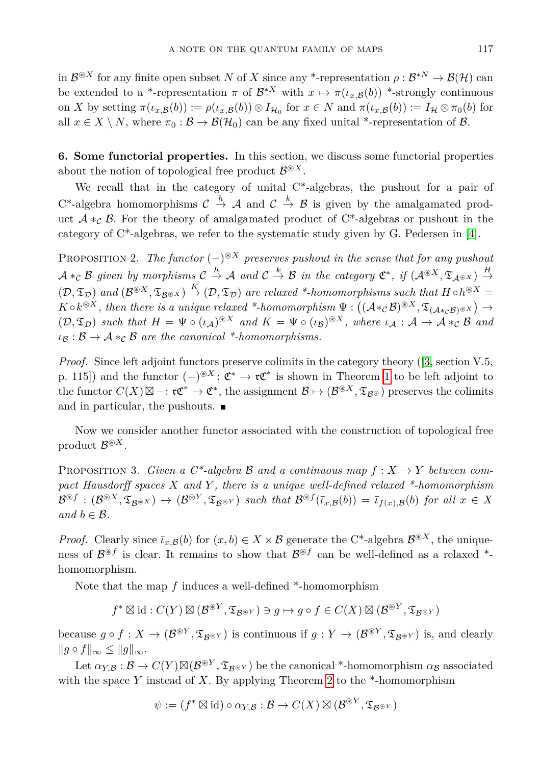in  $\mathcal{B}^{\circledast X}$  for any finite open subset *N* of *X* since any \*-representation  $\rho : \mathcal{B}^{*N} \to \mathcal{B}(\mathcal{H})$  can be extended to a \*-representation  $\pi$  of  $\mathcal{B}^{*X}$  with  $x \mapsto \pi(\iota_{x,\mathcal{B}}(b))$  \*-strongly continuous on *X* by setting  $\pi(\iota_{x,\mathcal{B}}(b)) := \rho(\iota_{x,\mathcal{B}}(b)) \otimes I_{\mathcal{H}_0}$  for  $x \in N$  and  $\pi(\iota_{x,\mathcal{B}}(b)) := I_{\mathcal{H}} \otimes \pi_0(b)$  for all  $x \in X \setminus N$ , where  $\pi_0 : \mathcal{B} \to \mathcal{B}(\mathcal{H}_0)$  can be any fixed unital \*-representation of  $\mathcal{B}$ .

**6. Some functorial properties.** In this section, we discuss some functorial properties about the notion of topological free product  $\mathcal{B}^{\circledast X}$ .

We recall that in the category of unital C\*-algebras, the pushout for a pair of C<sup>\*</sup>-algebra homomorphisms  $C \stackrel{h}{\rightarrow} A$  and  $C \stackrel{k}{\rightarrow} B$  is given by the amalgamated product  $A *_{\mathcal{C}} \mathcal{B}$ . For the theory of amalgamated product of C<sup>\*</sup>-algebras or pushout in the category of C\*-algebras, we refer to the systematic study given by G. Pedersen in [\[4\]](#page-9-6).

PROPOSITION 2. The functor  $(-)^{\circledast X}$  preserves pushout in the sense that for any pushout  $A *_{\mathcal{C}} B$  given by morphisms  $C \stackrel{h}{\to} A$  and  $C \stackrel{k}{\to} B$  in the category  $\mathfrak{C}^*$ , if  $(A^{\circledast X}, \mathfrak{T}_{\mathcal{A}^{\circledast X}}) \stackrel{H}{\to}$  $(\mathcal{D}, \mathfrak{T}_{\mathcal{D}})$  and  $(\mathcal{B}^{\circledast X}, \mathfrak{T}_{\mathcal{B}^{\circledast X}}) \stackrel{K}{\rightarrow} (\mathcal{D}, \mathfrak{T}_{\mathcal{D}})$  are relaxed \*-homomorphisms such that  $H \circ h^{\circledast X} =$  $K \circ k^{\circledast X}$ , then there is a unique relaxed \*-homomorphism  $\Psi : ((A *_{\mathcal{C}} \mathcal{B})^{\circledast X}, \mathfrak{T}_{(A *_{\mathcal{C}} \mathcal{B})^{\circledast X}}) \rightarrow$  $(D, \mathfrak{T}_D)$  such that  $H = \Psi \circ (\iota_A)^{\otimes X}$  and  $K = \Psi \circ (\iota_B)^{\otimes X}$ , where  $\iota_A : A \to A *_{\mathcal{C}} B$  and  $\iota_B : \mathcal{B} \to \mathcal{A} *_{\mathcal{C}} \mathcal{B}$  *are the canonical* \*-homomorphisms.

*Proof.* Since left adjoint functors preserve colimits in the category theory ([\[3,](#page-9-7) section V.5, p. [1](#page-4-0)15]) and the functor  $(-)^{\circledast X} : \mathfrak{C}^* \to \mathfrak{r} \mathfrak{C}^*$  is shown in Theorem 1 to be left adjoint to the functor  $C(X) \boxtimes -$ :  $\mathfrak{r} \mathfrak{C}^* \to \mathfrak{C}^*$ , the assignment  $\mathcal{B} \mapsto (\mathcal{B}^{\circledast X}, \mathfrak{T}_{\mathcal{B}^{\circledast}})$  preserves the colimits and in particular, the pushouts.  $\blacksquare$ 

Now we consider another functor associated with the construction of topological free product  $\mathcal{B}^{\circledast X}$ .

**PROPOSITION 3.** Given a  $C^*$ -algebra B and a continuous map  $f: X \to Y$  between com*pact Hausdorff spaces X and Y , there is a unique well-defined relaxed \*-homomorphism*  $\mathcal{B}^{\circledast f} : (\mathcal{B}^{\circledast X}, \mathfrak{T}_{\mathcal{B}^{\circledast X}}) \to (\mathcal{B}^{\circledast Y}, \mathfrak{T}_{\mathcal{B}^{\circledast Y}})$  such that  $\mathcal{B}^{\circledast f}(\bar{\iota}_{x,\mathcal{B}}(b)) = \bar{\iota}_{f(x),\mathcal{B}}(b)$  for all  $x \in X$ *and*  $b \in \mathcal{B}$ *.* 

*Proof.* Clearly since  $\bar{\iota}_{x,B}(b)$  for  $(x,b) \in X \times B$  generate the C<sup>\*</sup>-algebra  $\mathcal{B}^{\circledast X}$ , the uniqueness of  $\mathcal{B}^{\circledast f}$  is clear. It remains to show that  $\mathcal{B}^{\circledast f}$  can be well-defined as a relaxed  $*$ homomorphism.

Note that the map *f* induces a well-defined \*-homomorphism

$$
f^*\boxtimes \mathrm{id}: C(Y)\boxtimes ({\mathcal B}^{\circledast Y}, {\mathfrak T}_{{\mathcal B}^{\circledast Y}})\ni g\mapsto g\circ f\in C(X)\boxtimes ({\mathcal B}^{\circledast Y}, {\mathfrak T}_{{\mathcal B}^{\circledast Y}})
$$

because  $g \circ f : X \to (\mathcal{B}^{\circledast Y}, \mathfrak{T}_{\mathcal{B}^{\circledast Y}})$  is continuous if  $g : Y \to (\mathcal{B}^{\circledast Y}, \mathfrak{T}_{\mathcal{B}^{\circledast Y}})$  is, and clearly  $||g \circ f||_{\infty} \leq ||g||_{\infty}$ .

Let  $\alpha_{Y,B}: B \to C(Y) \boxtimes (B^{\circledast Y}, \mathfrak{T}_{B^{\circledast Y}})$  be the canonical \*-homomorphism  $\alpha_B$  associated with the space *Y* instead of *X*. By applying Theorem [2](#page-5-0) to the \*-homomorphism

$$
\psi := (f^* \boxtimes id) \circ \alpha_{Y,\mathcal{B}} : \mathcal{B} \to C(X) \boxtimes (\mathcal{B}^{\circledast Y}, \mathfrak{T}_{\mathcal{B}^{\circledast Y}})
$$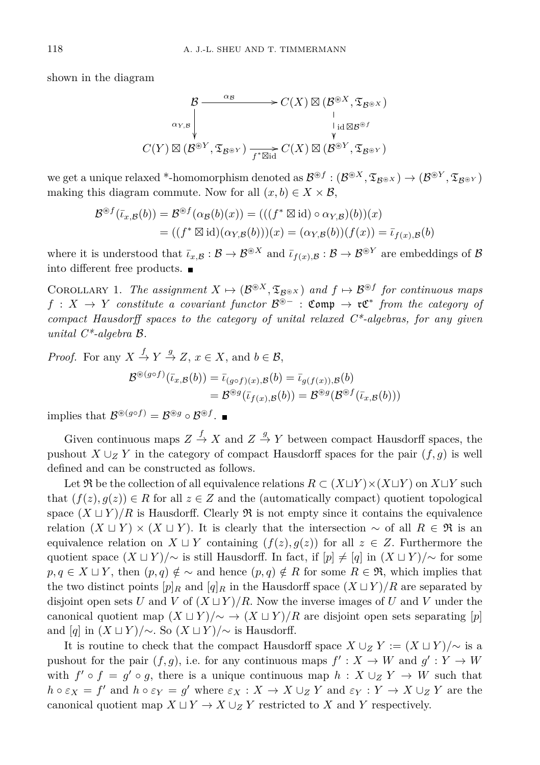shown in the diagram

$$
\begin{array}{ccc} & \mathcal{B} \longrightarrow C(X) \boxtimes (\mathcal{B}^{\circledast X}, \mathfrak{T}_{\mathcal{B}^{\circledast X}}) \\ \downarrow & & \downarrow \\ C(Y) \boxtimes (\mathcal{B}^{\circledast Y}, \mathfrak{T}_{\mathcal{B}^{\circledast Y}}) \longrightarrow_{f^* \boxtimes id} C(X) \boxtimes (\mathcal{B}^{\circledast Y}, \mathfrak{T}_{\mathcal{B}^{\circledast Y}}) \end{array}
$$

 $\mathcal{B}^{\otimes f} : (\mathcal{B}^{\otimes X}, \mathfrak{T}_{\mathcal{B}^{\otimes Y}}) \to (\mathcal{B}^{\otimes Y}, \mathfrak{T}_{\mathcal{B}^{\otimes Y}})$ making this diagram commute. Now for all  $(x, b) \in X \times \mathcal{B}$ ,

$$
\mathcal{B}^{\circledast f}(\bar{\iota}_{x,\mathcal{B}}(b)) = \mathcal{B}^{\circledast f}(\alpha_{\mathcal{B}}(b)(x)) = (((f^* \boxtimes id) \circ \alpha_{Y,\mathcal{B}})(b))(x)
$$
  
= ((f^\* \boxtimes id)(\alpha\_{Y,\mathcal{B}}(b)))(x) = (\alpha\_{Y,\mathcal{B}}(b))(f(x)) = \bar{\iota}\_{f(x),\mathcal{B}}(b)

where it is understood that  $\bar{\iota}_{x,B} : \mathcal{B} \to \mathcal{B}^{\otimes X}$  and  $\bar{\iota}_{f(x),B} : \mathcal{B} \to \mathcal{B}^{\otimes Y}$  are embeddings of  $\mathcal{B}$ into different free products.

COROLLARY 1. *The assignment*  $X \mapsto (\mathcal{B}^{\circledast X}, \mathfrak{T}_{\mathcal{B}^{\circledast X}})$  and  $f \mapsto \mathcal{B}^{\circledast f}$  for continuous maps *f* : *X* → *Y constitute a covariant functor*  $B$ <sup>®</sup><sup>−</sup> : **Comp** →  $\mathfrak{r} \mathfrak{C}^*$  *from the category of compact Hausdorff spaces to the category of unital relaxed C\*-algebras, for any given unital C\*-algebra* B*.*

*Proof.* For any  $X \stackrel{f}{\rightarrow} Y \stackrel{g}{\rightarrow} Z$ ,  $x \in X$ , and  $b \in \mathcal{B}$ ,  $\mathcal{B}^{\circledast(g \circ f)}(\bar{\iota}_{x,\mathcal{B}}(b)) = \bar{\iota}_{(g \circ f)(x),\mathcal{B}}(b) = \bar{\iota}_{g(f(x)),\mathcal{B}}(b)$ 

$$
= \mathcal{B}^{\circledast g}(\bar\iota_{f(x),\mathcal{B}}(b)) = \mathcal{B}^{\circledast g}(\mathcal{B}^{\circledast f}(\bar\iota_{x,\mathcal{B}}(b)))
$$

implies that  $\mathcal{B}^{\circledast(g \circ f)} = \mathcal{B}^{\circledast g} \circ \mathcal{B}^{\circledast f}$ .

Given continuous maps  $Z \stackrel{f}{\to} X$  and  $Z \stackrel{g}{\to} Y$  between compact Hausdorff spaces, the pushout  $X \cup Z$  *Y* in the category of compact Hausdorff spaces for the pair  $(f, g)$  is well defined and can be constructed as follows.

Let  $\mathfrak{R}$  be the collection of all equivalence relations  $R \subset (X \sqcup Y) \times (X \sqcup Y)$  on  $X \sqcup Y$  such that  $(f(z), g(z)) \in R$  for all  $z \in Z$  and the (automatically compact) quotient topological space  $(X \sqcup Y)/R$  is Hausdorff. Clearly  $\Re$  is not empty since it contains the equivalence relation  $(X \sqcup Y) \times (X \sqcup Y)$ . It is clearly that the intersection  $\sim$  of all  $R \in \mathfrak{R}$  is an equivalence relation on  $X \sqcup Y$  containing  $(f(z), g(z))$  for all  $z \in Z$ . Furthermore the quotient space  $(X \sqcup Y)/\sim$  is still Hausdorff. In fact, if  $[p] \neq [q]$  in  $(X \sqcup Y)/\sim$  for some *p, q* ∈ *X*  $\sqcup$  *Y*, then  $(p,q) \notin \sim$  and hence  $(p,q) \notin R$  for some  $R \in \mathfrak{R}$ , which implies that the two distinct points  $[p]_R$  and  $[q]_R$  in the Hausdorff space  $(X \sqcup Y)/R$  are separated by disjoint open sets *U* and *V* of  $(X \sqcup Y)/R$ . Now the inverse images of *U* and *V* under the canonical quotient map  $(X \sqcup Y)/\sim \rightarrow (X \sqcup Y)/R$  are disjoint open sets separating [*p*] and  $[q]$  in  $(X \sqcup Y)/\sim$ . So  $(X \sqcup Y)/\sim$  is Hausdorff.

It is routine to check that the compact Hausdorff space  $X \cup Z Y := (X \cup Y)/\sim$  is a pushout for the pair  $(f, g)$ , i.e. for any continuous maps  $f' : X \to W$  and  $g' : Y \to W$ with  $f' \circ f = g' \circ g$ , there is a unique continuous map  $h : X \cup Z Y \to W$  such that  $h \circ \varepsilon_X = f'$  and  $h \circ \varepsilon_Y = g'$  where  $\varepsilon_X : X \to X \cup_Z Y$  and  $\varepsilon_Y : Y \to X \cup_Z Y$  are the canonical quotient map  $X \sqcup Y \to X \cup Z$  *Y* restricted to *X* and *Y* respectively.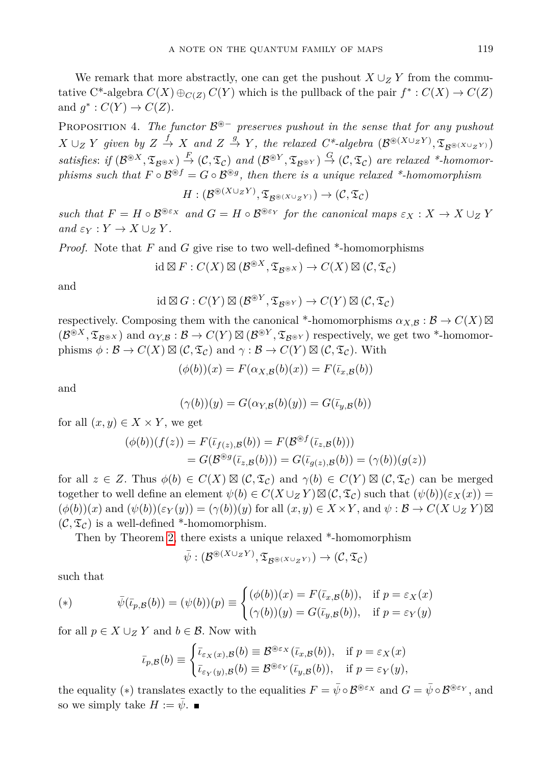We remark that more abstractly, one can get the pushout  $X \cup Z$  *Y* from the commutative C<sup>\*</sup>-algebra  $C(X) \oplus_{C(Z)} C(Y)$  which is the pullback of the pair  $f^* : C(X) \to C(Z)$ and  $g^*: C(Y) \to C(Z)$ .

PROPOSITION 4. The functor  $\mathcal{B}^*$  *preserves pushout in the sense that for any pushout*  $X \cup Z$  *Y* given by  $Z \stackrel{f}{\to} X$  and  $Z \stackrel{g}{\to} Y$ , the relaxed  $C^*$ -algebra  $(\mathcal{B}^{\circledast (X \cup ZY)}, \mathfrak{T}_{\mathcal{B}^{\circledast (X \cup ZY)}})$  $satisfies: if (\mathcal{B}^{\circledast X}, \mathfrak{T}_{\mathcal{B}^{\circledast X}}) \stackrel{F}{\rightarrow} (\mathcal{C}, \mathfrak{T}_{\mathcal{C}}) \text{ and } (\mathcal{B}^{\circledast Y}, \mathfrak{T}_{\mathcal{B}^{\circledast Y}}) \stackrel{G}{\rightarrow} (\mathcal{C}, \mathfrak{T}_{\mathcal{C}}) \text{ are relaxed *-homomor-}$ *phisms such that*  $F \circ \mathcal{B}^{\circledast f} = G \circ \mathcal{B}^{\circledast g}$ , then there is a unique relaxed \*-homomorphism

$$
H: (\mathcal{B}^{\circledast (X \cup_Z Y)}, \mathfrak{T}_{\mathcal{B}^{\circledast (X \cup_Z Y)}}) \rightarrow (\mathcal{C}, \mathfrak{T}_{\mathcal{C}})
$$

*such that*  $F = H \circ \mathcal{B}^{\otimes \varepsilon_X}$  *and*  $G = H \circ \mathcal{B}^{\otimes \varepsilon_Y}$  *for the canonical maps*  $\varepsilon_X : X \to X \cup_Z Y$  $and \varepsilon_Y : Y \to X \cup_Z Y$ .

*Proof.* Note that *F* and *G* give rise to two well-defined \*-homomorphisms

$$
id \boxtimes F: C(X) \boxtimes (\mathcal{B}^{\circledast X}, \mathfrak{T}_{\mathcal{B}^{\circledast X}}) \to C(X) \boxtimes (\mathcal{C}, \mathfrak{T}_{\mathcal{C}})
$$

and

$$
id \boxtimes G : C(Y) \boxtimes (\mathcal{B}^{\circledast Y}, \mathfrak{T}_{\mathcal{B}^{\circledast Y}}) \to C(Y) \boxtimes (\mathcal{C}, \mathfrak{T}_{\mathcal{C}})
$$

respectively. Composing them with the canonical \*-homomorphisms  $\alpha_{X,\mathcal{B}} : \mathcal{B} \to C(X) \boxtimes$  $(\mathcal{B}^{\circledast X}, \mathfrak{T}_{\mathcal{B}^{\circledast X}})$  and  $\alpha_{Y,\mathcal{B}} : \mathcal{B} \to C(Y) \boxtimes (\mathcal{B}^{\circledast Y}, \mathfrak{T}_{\mathcal{B}^{\circledast Y}})$  respectively, we get two \*-homomorphisms  $\phi : \mathcal{B} \to C(X) \boxtimes (\mathcal{C}, \mathfrak{T}_{\mathcal{C}})$  and  $\gamma : \mathcal{B} \to C(Y) \boxtimes (\mathcal{C}, \mathfrak{T}_{\mathcal{C}})$ . With

$$
(\phi(b))(x) = F(\alpha_{X,\mathcal{B}}(b)(x)) = F(\overline{\iota}_{x,\mathcal{B}}(b))
$$

and

$$
(\gamma(b))(y) = G(\alpha_{Y,\mathcal{B}}(b)(y)) = G(\overline{\iota}_{y,\mathcal{B}}(b))
$$

for all  $(x, y) \in X \times Y$ , we get

$$
(\phi(b))(f(z)) = F(\bar{t}_{f(z),B}(b)) = F(\mathcal{B}^{\circledast f}(\bar{t}_{z,B}(b)))
$$
  
=  $G(\mathcal{B}^{\circledast g}(\bar{t}_{z,B}(b))) = G(\bar{t}_{g(z),B}(b)) = (\gamma(b))(g(z))$ 

for all  $z \in Z$ . Thus  $\phi(b) \in C(X) \boxtimes (C, \mathfrak{T}_c)$  and  $\gamma(b) \in C(Y) \boxtimes (C, \mathfrak{T}_c)$  can be merged together to well define an element  $\psi(b) \in C(X \cup Z) \boxtimes (C, \mathfrak{T}_c)$  such that  $(\psi(b))(\varepsilon_X(x)) =$  $(\phi(b))(x)$  and  $(\psi(b))(\varepsilon_Y(y)) = (\gamma(b))(y)$  for all  $(x, y) \in X \times Y$ , and  $\psi : \mathcal{B} \to C(X \cup_Z Y) \boxtimes$  $(C, \mathfrak{T}_c)$  is a well-defined \*-homomorphism.

Then by Theorem [2,](#page-5-0) there exists a unique relaxed \*-homomorphism

$$
\bar{\psi}: (\mathcal{B}^{\circledast (X \cup_Z Y)}, \mathfrak{T}_{\mathcal{B}^{\circledast (X \cup_Z Y)}}) \to (\mathcal{C}, \mathfrak{T}_{\mathcal{C}})
$$

such that

$$
(*) \qquad \bar{\psi}(\bar{\iota}_{p,\mathcal{B}}(b)) = (\psi(b))(p) \equiv \begin{cases} (\phi(b))(x) = F(\bar{\iota}_{x,\mathcal{B}}(b)), & \text{if } p = \varepsilon_X(x) \\ (\gamma(b))(y) = G(\bar{\iota}_{y,\mathcal{B}}(b)), & \text{if } p = \varepsilon_Y(y) \end{cases}
$$

for all  $p \in X \cup Z$  *Y* and  $b \in \mathcal{B}$ . Now with

$$
\bar{\iota}_{p,\mathcal{B}}(b) \equiv \begin{cases} \bar{\iota}_{\varepsilon_X(x),\mathcal{B}}(b) \equiv \mathcal{B}^{\circledast \varepsilon_X}(\bar{\iota}_{x,\mathcal{B}}(b)), & \text{if } p = \varepsilon_X(x) \\ \bar{\iota}_{\varepsilon_Y(y),\mathcal{B}}(b) \equiv \mathcal{B}^{\circledast \varepsilon_Y}(\bar{\iota}_{y,\mathcal{B}}(b)), & \text{if } p = \varepsilon_Y(y), \end{cases}
$$

the equality (\*) translates exactly to the equalities  $F = \bar{\psi} \circ \mathcal{B}^{\otimes \varepsilon_X}$  and  $G = \bar{\psi} \circ \mathcal{B}^{\otimes \varepsilon_Y}$ , and so we simply take  $H := \bar{\psi}$ .